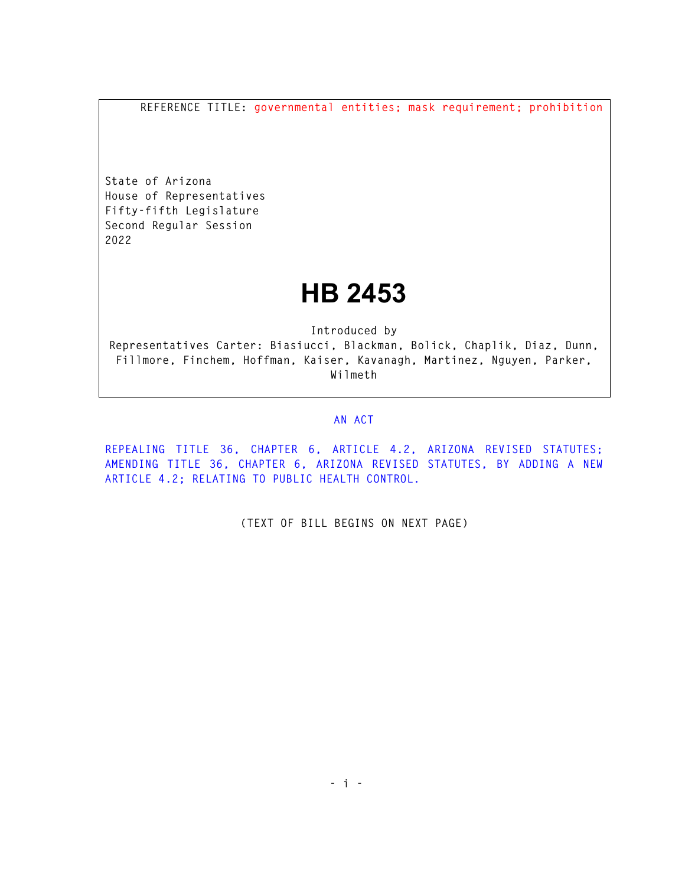**REFERENCE TITLE: governmental entities; mask requirement; prohibition** 

**State of Arizona House of Representatives Fifty-fifth Legislature Second Regular Session 2022** 

## **HB 2453**

**Introduced by Representatives Carter: Biasiucci, Blackman, Bolick, Chaplik, Diaz, Dunn, Fillmore, Finchem, Hoffman, Kaiser, Kavanagh, Martinez, Nguyen, Parker, Wilmeth** 

## **AN ACT**

**REPEALING TITLE 36, CHAPTER 6, ARTICLE 4.2, ARIZONA REVISED STATUTES; AMENDING TITLE 36, CHAPTER 6, ARIZONA REVISED STATUTES, BY ADDING A NEW ARTICLE 4.2; RELATING TO PUBLIC HEALTH CONTROL.** 

**(TEXT OF BILL BEGINS ON NEXT PAGE)**